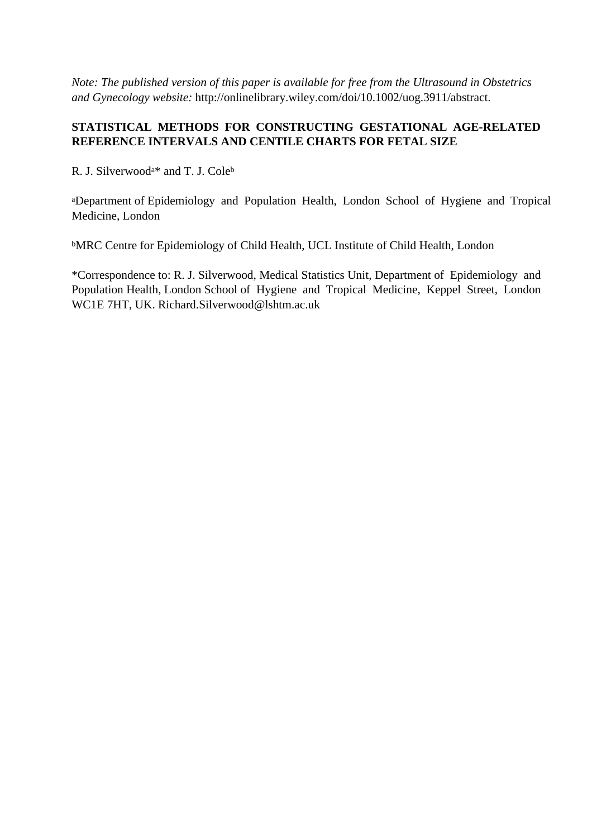*Note: The published version of this paper is available for free from the Ultrasound in Obstetrics and Gynecology website:* http://onlinelibrary.wiley.com/doi/10.1002/uog.3911/abstract.

# **STATISTICAL METHODS FOR CONSTRUCTING GESTATIONAL AGE-RELATED REFERENCE INTERVALS AND CENTILE CHARTS FOR FETAL SIZE**

R. J. Silverwooda\* and T. J. Cole<sup>b</sup>

<sup>a</sup>Department of Epidemiology and Population Health, London School of Hygiene and Tropical Medicine, London

<sup>b</sup>MRC Centre for Epidemiology of Child Health, UCL Institute of Child Health, London

\*Correspondence to: R. J. Silverwood, Medical Statistics Unit, Department of Epidemiology and Population Health, London School of Hygiene and Tropical Medicine, Keppel Street, London WC1E 7HT, UK. Richard.Silverwood@lshtm.ac.uk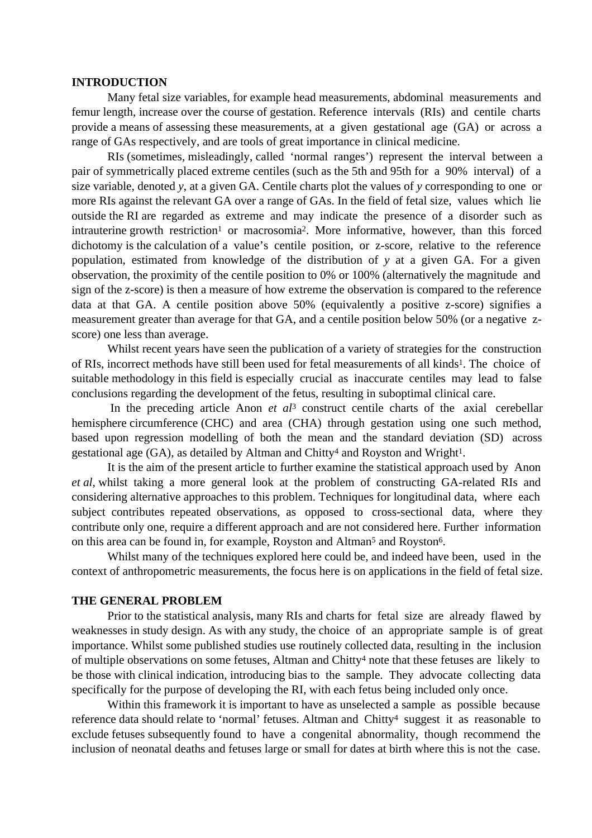### **INTRODUCTION**

 Many fetal size variables, for example head measurements, abdominal measurements and femur length, increase over the course of gestation. Reference intervals (RIs) and centile charts provide a means of assessing these measurements, at a given gestational age (GA) or across a range of GAs respectively, and are tools of great importance in clinical medicine.

 RIs (sometimes, misleadingly, called 'normal ranges') represent the interval between a pair of symmetrically placed extreme centiles (such as the 5th and 95th for a 90% interval) of a size variable, denoted *y*, at a given GA. Centile charts plot the values of *y* corresponding to one or more RIs against the relevant GA over a range of GAs. In the field of fetal size, values which lie outside the RI are regarded as extreme and may indicate the presence of a disorder such as intrauterine growth restriction<sup>1</sup> or macrosomia<sup>2</sup>. More informative, however, than this forced dichotomy is the calculation of a value's centile position, or z-score, relative to the reference population, estimated from knowledge of the distribution of *y* at a given GA. For a given observation, the proximity of the centile position to 0% or 100% (alternatively the magnitude and sign of the z-score) is then a measure of how extreme the observation is compared to the reference data at that GA. A centile position above 50% (equivalently a positive z-score) signifies a measurement greater than average for that GA, and a centile position below 50% (or a negative zscore) one less than average.

 Whilst recent years have seen the publication of a variety of strategies for the construction of RIs, incorrect methods have still been used for fetal measurements of all kinds1. The choice of suitable methodology in this field is especially crucial as inaccurate centiles may lead to false conclusions regarding the development of the fetus, resulting in suboptimal clinical care.

 In the preceding article Anon *et al*3 construct centile charts of the axial cerebellar hemisphere circumference (CHC) and area (CHA) through gestation using one such method, based upon regression modelling of both the mean and the standard deviation (SD) across gestational age (GA), as detailed by Altman and Chitty<sup>4</sup> and Royston and Wright<sup>1</sup>.

 It is the aim of the present article to further examine the statistical approach used by Anon *et al*, whilst taking a more general look at the problem of constructing GA-related RIs and considering alternative approaches to this problem. Techniques for longitudinal data, where each subject contributes repeated observations, as opposed to cross-sectional data, where they contribute only one, require a different approach and are not considered here. Further information on this area can be found in, for example, Royston and Altman5 and Royston6.

 Whilst many of the techniques explored here could be, and indeed have been, used in the context of anthropometric measurements, the focus here is on applications in the field of fetal size.

#### **THE GENERAL PROBLEM**

 Prior to the statistical analysis, many RIs and charts for fetal size are already flawed by weaknesses in study design. As with any study, the choice of an appropriate sample is of great importance. Whilst some published studies use routinely collected data, resulting in the inclusion of multiple observations on some fetuses, Altman and Chitty4 note that these fetuses are likely to be those with clinical indication, introducing bias to the sample. They advocate collecting data specifically for the purpose of developing the RI, with each fetus being included only once.

Within this framework it is important to have as unselected a sample as possible because reference data should relate to 'normal' fetuses. Altman and Chitty<sup>4</sup> suggest it as reasonable to exclude fetuses subsequently found to have a congenital abnormality, though recommend the inclusion of neonatal deaths and fetuses large or small for dates at birth where this is not the case.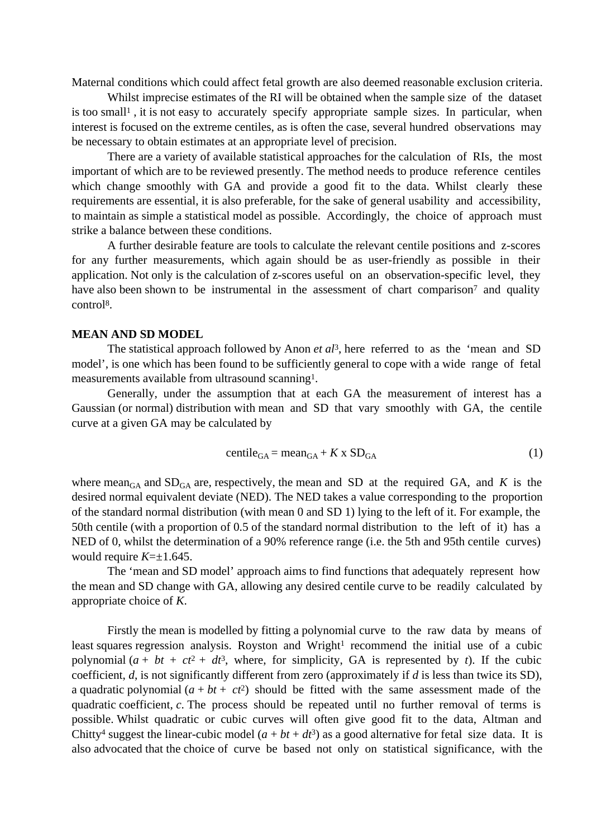Maternal conditions which could affect fetal growth are also deemed reasonable exclusion criteria.

 Whilst imprecise estimates of the RI will be obtained when the sample size of the dataset is too small<sup>1</sup>, it is not easy to accurately specify appropriate sample sizes. In particular, when interest is focused on the extreme centiles, as is often the case, several hundred observations may be necessary to obtain estimates at an appropriate level of precision.

 There are a variety of available statistical approaches for the calculation of RIs, the most important of which are to be reviewed presently. The method needs to produce reference centiles which change smoothly with GA and provide a good fit to the data. Whilst clearly these requirements are essential, it is also preferable, for the sake of general usability and accessibility, to maintain as simple a statistical model as possible. Accordingly, the choice of approach must strike a balance between these conditions.

 A further desirable feature are tools to calculate the relevant centile positions and z-scores for any further measurements, which again should be as user-friendly as possible in their application. Not only is the calculation of z-scores useful on an observation-specific level, they have also been shown to be instrumental in the assessment of chart comparison<sup>7</sup> and quality control8.

### **MEAN AND SD MODEL**

The statistical approach followed by Anon *et al*<sup>3</sup>, here referred to as the 'mean and SD model', is one which has been found to be sufficiently general to cope with a wide range of fetal measurements available from ultrasound scanning1.

 Generally, under the assumption that at each GA the measurement of interest has a Gaussian (or normal) distribution with mean and SD that vary smoothly with GA, the centile curve at a given GA may be calculated by

$$
centile_{GA} = mean_{GA} + K \times SD_{GA}
$$
 (1)

where mean<sub>GA</sub> and  $SD<sub>GA</sub>$  are, respectively, the mean and SD at the required GA, and *K* is the desired normal equivalent deviate (NED). The NED takes a value corresponding to the proportion of the standard normal distribution (with mean 0 and SD 1) lying to the left of it. For example, the 50th centile (with a proportion of 0.5 of the standard normal distribution to the left of it) has a NED of 0, whilst the determination of a 90% reference range (i.e. the 5th and 95th centile curves) would require *K*=±1.645.

 The 'mean and SD model' approach aims to find functions that adequately represent how the mean and SD change with GA, allowing any desired centile curve to be readily calculated by appropriate choice of *K*.

 Firstly the mean is modelled by fitting a polynomial curve to the raw data by means of least squares regression analysis. Royston and Wright<sup>1</sup> recommend the initial use of a cubic polynomial  $(a + bt + ct^2 + dt^3)$ , where, for simplicity, GA is represented by *t*). If the cubic coefficient, *d*, is not significantly different from zero (approximately if *d* is less than twice its SD), a quadratic polynomial  $(a + bt + ct^2)$  should be fitted with the same assessment made of the quadratic coefficient, *c*. The process should be repeated until no further removal of terms is possible. Whilst quadratic or cubic curves will often give good fit to the data, Altman and Chitty<sup>4</sup> suggest the linear-cubic model  $(a + bt + dt^3)$  as a good alternative for fetal size data. It is also advocated that the choice of curve be based not only on statistical significance, with the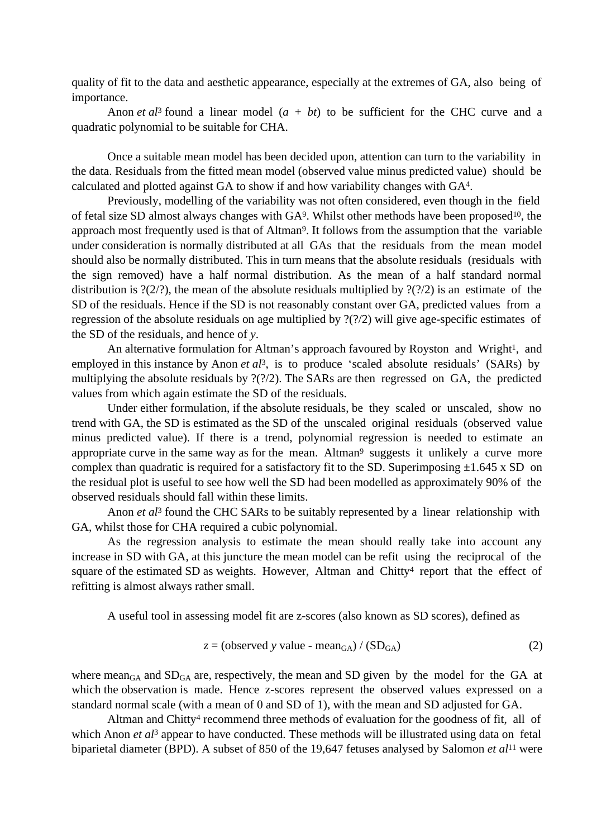quality of fit to the data and aesthetic appearance, especially at the extremes of GA, also being of importance.

Anon *et al*<sup>3</sup> found a linear model  $(a + bt)$  to be sufficient for the CHC curve and a quadratic polynomial to be suitable for CHA.

 Once a suitable mean model has been decided upon, attention can turn to the variability in the data. Residuals from the fitted mean model (observed value minus predicted value) should be calculated and plotted against GA to show if and how variability changes with GA4.

 Previously, modelling of the variability was not often considered, even though in the field of fetal size SD almost always changes with GA9. Whilst other methods have been proposed10, the approach most frequently used is that of Altman9. It follows from the assumption that the variable under consideration is normally distributed at all GAs that the residuals from the mean model should also be normally distributed. This in turn means that the absolute residuals (residuals with the sign removed) have a half normal distribution. As the mean of a half standard normal distribution is  $?(2/?)$ , the mean of the absolute residuals multiplied by  $?('?)$  is an estimate of the SD of the residuals. Hence if the SD is not reasonably constant over GA, predicted values from a regression of the absolute residuals on age multiplied by ?(?/2) will give age-specific estimates of the SD of the residuals, and hence of *y*.

An alternative formulation for Altman's approach favoured by Royston and Wright<sup>1</sup>, and employed in this instance by Anon *et al*<sup>3</sup>, is to produce 'scaled absolute residuals' (SARs) by multiplying the absolute residuals by ?(?/2). The SARs are then regressed on GA, the predicted values from which again estimate the SD of the residuals.

 Under either formulation, if the absolute residuals, be they scaled or unscaled, show no trend with GA, the SD is estimated as the SD of the unscaled original residuals (observed value minus predicted value). If there is a trend, polynomial regression is needed to estimate an appropriate curve in the same way as for the mean. Altman<sup>9</sup> suggests it unlikely a curve more complex than quadratic is required for a satisfactory fit to the SD. Superimposing  $\pm 1.645$  x SD on the residual plot is useful to see how well the SD had been modelled as approximately 90% of the observed residuals should fall within these limits.

Anon *et al*<sup>3</sup> found the CHC SARs to be suitably represented by a linear relationship with GA, whilst those for CHA required a cubic polynomial.

 As the regression analysis to estimate the mean should really take into account any increase in SD with GA, at this juncture the mean model can be refit using the reciprocal of the square of the estimated SD as weights. However, Altman and Chitty<sup>4</sup> report that the effect of refitting is almost always rather small.

A useful tool in assessing model fit are z-scores (also known as SD scores), defined as

$$
z = \text{(observed y value - mean}_{GA}) / (\text{SD}_{GA}) \tag{2}
$$

where mean<sub>GA</sub> and  $SD<sub>GA</sub>$  are, respectively, the mean and SD given by the model for the GA at which the observation is made. Hence z-scores represent the observed values expressed on a standard normal scale (with a mean of 0 and SD of 1), with the mean and SD adjusted for GA.

Altman and Chitty<sup>4</sup> recommend three methods of evaluation for the goodness of fit, all of which Anon *et al*<sup>3</sup> appear to have conducted. These methods will be illustrated using data on fetal biparietal diameter (BPD). A subset of 850 of the 19,647 fetuses analysed by Salomon *et al*11 were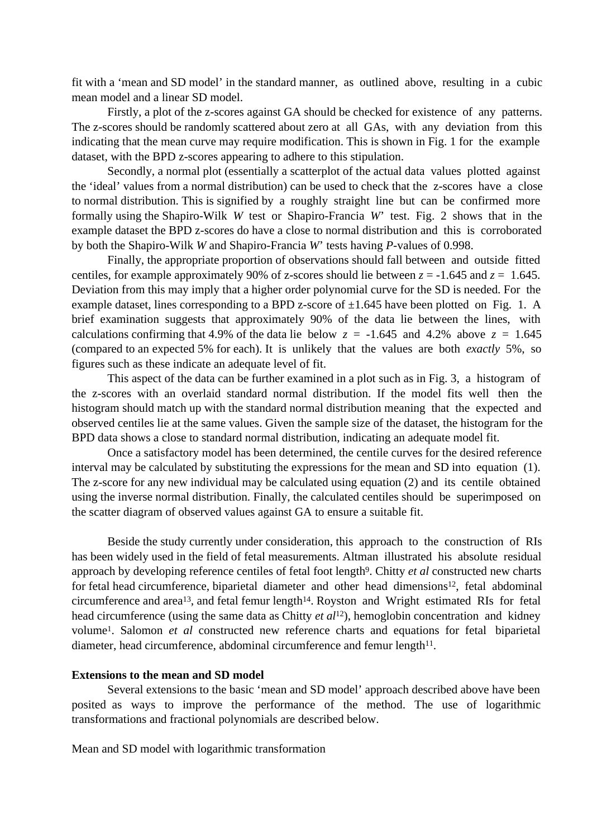fit with a 'mean and SD model' in the standard manner, as outlined above, resulting in a cubic mean model and a linear SD model.

 Firstly, a plot of the z-scores against GA should be checked for existence of any patterns. The z-scores should be randomly scattered about zero at all GAs, with any deviation from this indicating that the mean curve may require modification. This is shown in Fig. 1 for the example dataset, with the BPD z-scores appearing to adhere to this stipulation.

 Secondly, a normal plot (essentially a scatterplot of the actual data values plotted against the 'ideal' values from a normal distribution) can be used to check that the z-scores have a close to normal distribution. This is signified by a roughly straight line but can be confirmed more formally using the Shapiro-Wilk *W* test or Shapiro-Francia *W*' test. Fig. 2 shows that in the example dataset the BPD z-scores do have a close to normal distribution and this is corroborated by both the Shapiro-Wilk *W* and Shapiro-Francia *W*' tests having *P*-values of 0.998.

 Finally, the appropriate proportion of observations should fall between and outside fitted centiles, for example approximately 90% of z-scores should lie between  $z = -1.645$  and  $z = 1.645$ . Deviation from this may imply that a higher order polynomial curve for the SD is needed. For the example dataset, lines corresponding to a BPD z-score of  $\pm 1.645$  have been plotted on Fig. 1. A brief examination suggests that approximately 90% of the data lie between the lines, with calculations confirming that 4.9% of the data lie below  $z = -1.645$  and 4.2% above  $z = 1.645$ (compared to an expected 5% for each). It is unlikely that the values are both *exactly* 5%, so figures such as these indicate an adequate level of fit.

 This aspect of the data can be further examined in a plot such as in Fig. 3, a histogram of the z-scores with an overlaid standard normal distribution. If the model fits well then the histogram should match up with the standard normal distribution meaning that the expected and observed centiles lie at the same values. Given the sample size of the dataset, the histogram for the BPD data shows a close to standard normal distribution, indicating an adequate model fit.

 Once a satisfactory model has been determined, the centile curves for the desired reference interval may be calculated by substituting the expressions for the mean and SD into equation (1). The z-score for any new individual may be calculated using equation (2) and its centile obtained using the inverse normal distribution. Finally, the calculated centiles should be superimposed on the scatter diagram of observed values against GA to ensure a suitable fit.

 Beside the study currently under consideration, this approach to the construction of RIs has been widely used in the field of fetal measurements. Altman illustrated his absolute residual approach by developing reference centiles of fetal foot length9. Chitty *et al* constructed new charts for fetal head circumference, biparietal diameter and other head dimensions<sup>12</sup>, fetal abdominal circumference and area<sup>13</sup>, and fetal femur length<sup>14</sup>. Royston and Wright estimated RIs for fetal head circumference (using the same data as Chitty *et al*12), hemoglobin concentration and kidney volume1. Salomon *et al* constructed new reference charts and equations for fetal biparietal diameter, head circumference, abdominal circumference and femur length<sup>11</sup>.

### **Extensions to the mean and SD model**

 Several extensions to the basic 'mean and SD model' approach described above have been posited as ways to improve the performance of the method. The use of logarithmic transformations and fractional polynomials are described below.

Mean and SD model with logarithmic transformation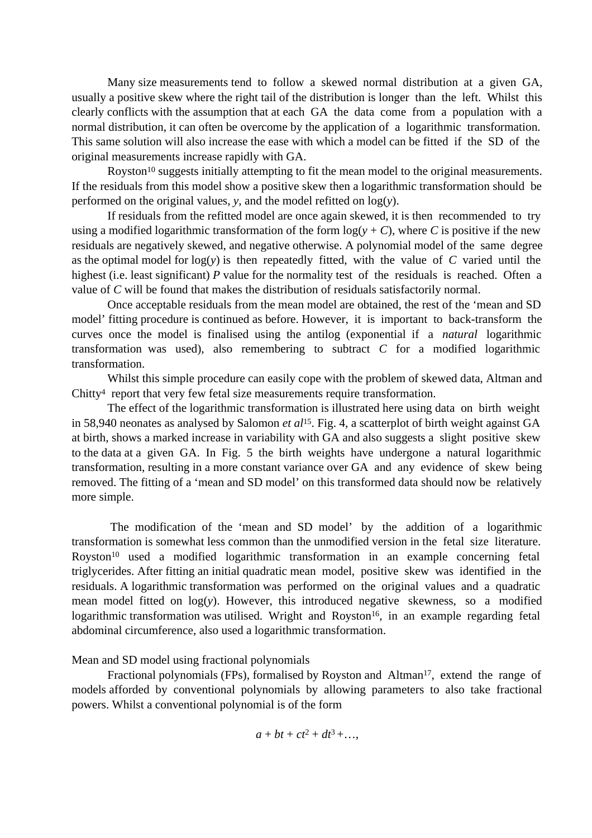Many size measurements tend to follow a skewed normal distribution at a given GA, usually a positive skew where the right tail of the distribution is longer than the left. Whilst this clearly conflicts with the assumption that at each GA the data come from a population with a normal distribution, it can often be overcome by the application of a logarithmic transformation. This same solution will also increase the ease with which a model can be fitted if the SD of the original measurements increase rapidly with GA.

Royston<sup>10</sup> suggests initially attempting to fit the mean model to the original measurements. If the residuals from this model show a positive skew then a logarithmic transformation should be performed on the original values, *y*, and the model refitted on  $log(y)$ .

 If residuals from the refitted model are once again skewed, it is then recommended to try using a modified logarithmic transformation of the form  $log(y + C)$ , where *C* is positive if the new residuals are negatively skewed, and negative otherwise. A polynomial model of the same degree as the optimal model for  $log(y)$  is then repeatedly fitted, with the value of *C* varied until the highest (i.e. least significant) *P* value for the normality test of the residuals is reached. Often a value of *C* will be found that makes the distribution of residuals satisfactorily normal.

 Once acceptable residuals from the mean model are obtained, the rest of the 'mean and SD model' fitting procedure is continued as before. However, it is important to back-transform the curves once the model is finalised using the antilog (exponential if a *natural* logarithmic transformation was used), also remembering to subtract *C* for a modified logarithmic transformation.

 Whilst this simple procedure can easily cope with the problem of skewed data, Altman and Chitty<sup>4</sup> report that very few fetal size measurements require transformation.

 The effect of the logarithmic transformation is illustrated here using data on birth weight in 58,940 neonates as analysed by Salomon *et al*15. Fig. 4, a scatterplot of birth weight against GA at birth, shows a marked increase in variability with GA and also suggests a slight positive skew to the data at a given GA. In Fig. 5 the birth weights have undergone a natural logarithmic transformation, resulting in a more constant variance over GA and any evidence of skew being removed. The fitting of a 'mean and SD model' on this transformed data should now be relatively more simple.

 The modification of the 'mean and SD model' by the addition of a logarithmic transformation is somewhat less common than the unmodified version in the fetal size literature. Royston<sup>10</sup> used a modified logarithmic transformation in an example concerning fetal triglycerides. After fitting an initial quadratic mean model, positive skew was identified in the residuals. A logarithmic transformation was performed on the original values and a quadratic mean model fitted on log(*y*). However, this introduced negative skewness, so a modified logarithmic transformation was utilised. Wright and Royston<sup>16</sup>, in an example regarding fetal abdominal circumference, also used a logarithmic transformation.

Mean and SD model using fractional polynomials

Fractional polynomials (FPs), formalised by Royston and Altman<sup>17</sup>, extend the range of models afforded by conventional polynomials by allowing parameters to also take fractional powers. Whilst a conventional polynomial is of the form

$$
a + bt + ct^2 + dt^3 + \dots,
$$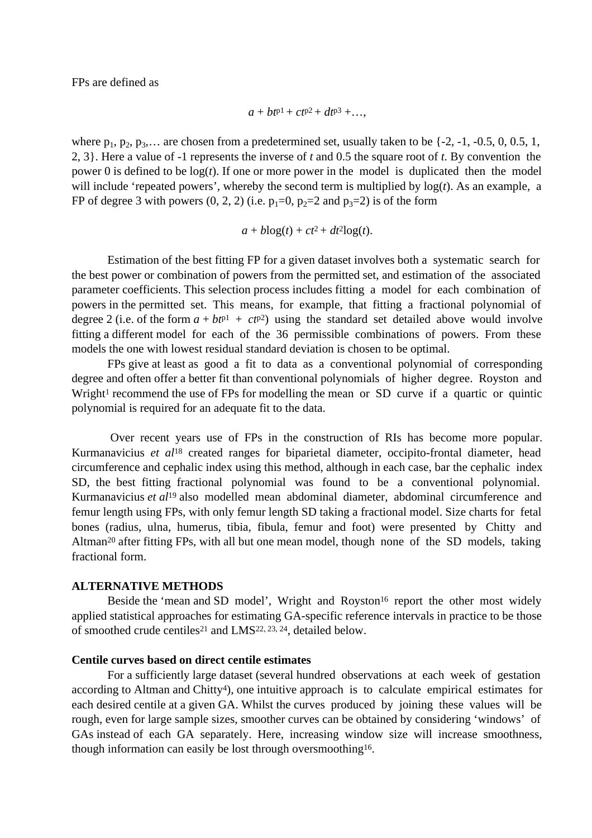FPs are defined as

$$
a+bt^{p1}+ct^{p2}+dt^{p3}+\ldots,
$$

where  $p_1, p_2, p_3, \ldots$  are chosen from a predetermined set, usually taken to be {-2, -1, -0.5, 0, 0.5, 1, 2, 3}. Here a value of -1 represents the inverse of *t* and 0.5 the square root of *t*. By convention the power 0 is defined to be  $log(t)$ . If one or more power in the model is duplicated then the model will include 'repeated powers', whereby the second term is multiplied by log(*t*). As an example, a FP of degree 3 with powers  $(0, 2, 2)$  (i.e.  $p_1=0$ ,  $p_2=2$  and  $p_3=2$ ) is of the form

$$
a + b\log(t) + ct^2 + dt^2\log(t).
$$

 Estimation of the best fitting FP for a given dataset involves both a systematic search for the best power or combination of powers from the permitted set, and estimation of the associated parameter coefficients. This selection process includes fitting a model for each combination of powers in the permitted set. This means, for example, that fitting a fractional polynomial of degree 2 (i.e. of the form  $a + bt^{p1} + ct^{p2}$ ) using the standard set detailed above would involve fitting a different model for each of the 36 permissible combinations of powers. From these models the one with lowest residual standard deviation is chosen to be optimal.

 FPs give at least as good a fit to data as a conventional polynomial of corresponding degree and often offer a better fit than conventional polynomials of higher degree. Royston and Wright<sup>1</sup> recommend the use of FPs for modelling the mean or SD curve if a quartic or quintic polynomial is required for an adequate fit to the data.

 Over recent years use of FPs in the construction of RIs has become more popular. Kurmanavicius *et al*18 created ranges for biparietal diameter, occipito-frontal diameter, head circumference and cephalic index using this method, although in each case, bar the cephalic index SD, the best fitting fractional polynomial was found to be a conventional polynomial. Kurmanavicius *et al*19 also modelled mean abdominal diameter, abdominal circumference and femur length using FPs, with only femur length SD taking a fractional model. Size charts for fetal bones (radius, ulna, humerus, tibia, fibula, femur and foot) were presented by Chitty and Altman20 after fitting FPs, with all but one mean model, though none of the SD models, taking fractional form.

### **ALTERNATIVE METHODS**

Beside the 'mean and SD model', Wright and Royston<sup>16</sup> report the other most widely applied statistical approaches for estimating GA-specific reference intervals in practice to be those of smoothed crude centiles<sup>21</sup> and LMS<sup>22, 23, 24</sup>, detailed below.

## **Centile curves based on direct centile estimates**

 For a sufficiently large dataset (several hundred observations at each week of gestation according to Altman and Chitty4), one intuitive approach is to calculate empirical estimates for each desired centile at a given GA. Whilst the curves produced by joining these values will be rough, even for large sample sizes, smoother curves can be obtained by considering 'windows' of GAs instead of each GA separately. Here, increasing window size will increase smoothness, though information can easily be lost through oversmoothing16.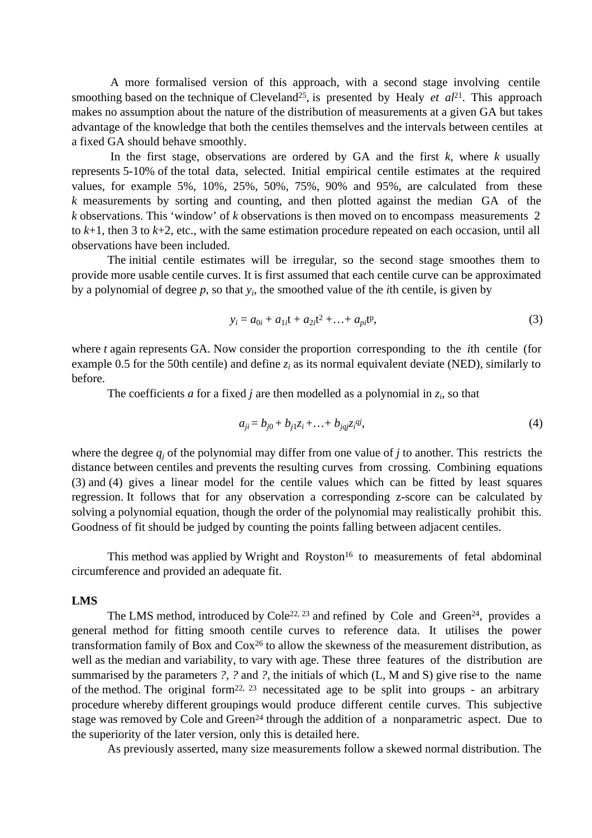A more formalised version of this approach, with a second stage involving centile smoothing based on the technique of Cleveland<sup>25</sup>, is presented by Healy *et al*<sup>21</sup>. This approach makes no assumption about the nature of the distribution of measurements at a given GA but takes advantage of the knowledge that both the centiles themselves and the intervals between centiles at a fixed GA should behave smoothly.

In the first stage, observations are ordered by GA and the first  $k$ , where  $k$  usually represents 5-10% of the total data, selected. Initial empirical centile estimates at the required values, for example 5%, 10%, 25%, 50%, 75%, 90% and 95%, are calculated from these *k* measurements by sorting and counting, and then plotted against the median GA of the *k* observations. This 'window' of *k* observations is then moved on to encompass measurements 2 to *k*+1, then 3 to *k*+2, etc., with the same estimation procedure repeated on each occasion, until all observations have been included.

 The initial centile estimates will be irregular, so the second stage smoothes them to provide more usable centile curves. It is first assumed that each centile curve can be approximated by a polynomial of degree *p*, so that *y<sup>i</sup>* , the smoothed value of the *i*th centile, is given by

$$
y_i = a_{0i} + a_{1i}t + a_{2i}t^2 + \dots + a_{pi}t^p,
$$
\n(3)

where *t* again represents GA. Now consider the proportion corresponding to the *i*th centile (for example 0.5 for the 50th centile) and define  $z_i$  as its normal equivalent deviate (NED), similarly to before.

The coefficients *a* for a fixed *j* are then modelled as a polynomial in  $z_i$ , so that

$$
a_{ji} = b_{j0} + b_{j1}z_i + \ldots + b_{jqj}z_i^{qi},\tag{4}
$$

where the degree  $q_j$  of the polynomial may differ from one value of  $j$  to another. This restricts the distance between centiles and prevents the resulting curves from crossing. Combining equations (3) and (4) gives a linear model for the centile values which can be fitted by least squares regression. It follows that for any observation a corresponding z-score can be calculated by solving a polynomial equation, though the order of the polynomial may realistically prohibit this. Goodness of fit should be judged by counting the points falling between adjacent centiles.

This method was applied by Wright and Royston<sup>16</sup> to measurements of fetal abdominal circumference and provided an adequate fit.

#### **LMS**

The LMS method, introduced by Cole<sup>22, 23</sup> and refined by Cole and Green<sup>24</sup>, provides a general method for fitting smooth centile curves to reference data. It utilises the power transformation family of Box and Cox26 to allow the skewness of the measurement distribution, as well as the median and variability, to vary with age. These three features of the distribution are summarised by the parameters *?*, *?* and *?*, the initials of which (L, M and S) give rise to the name of the method. The original form<sup>22, 23</sup> necessitated age to be split into groups - an arbitrary procedure whereby different groupings would produce different centile curves. This subjective stage was removed by Cole and Green<sup>24</sup> through the addition of a nonparametric aspect. Due to the superiority of the later version, only this is detailed here.

As previously asserted, many size measurements follow a skewed normal distribution. The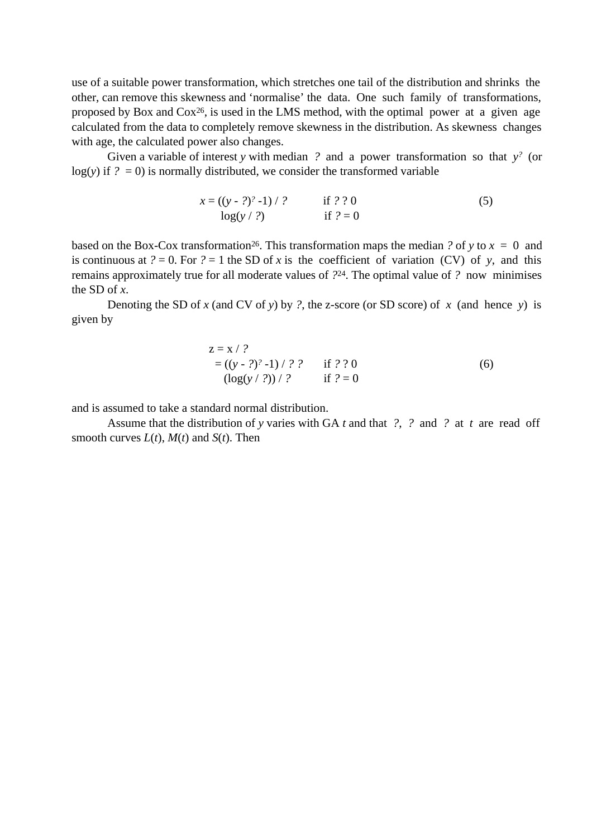use of a suitable power transformation, which stretches one tail of the distribution and shrinks the other, can remove this skewness and 'normalise' the data. One such family of transformations, proposed by Box and  $Cox^{26}$ , is used in the LMS method, with the optimal power at a given age calculated from the data to completely remove skewness in the distribution. As skewness changes with age, the calculated power also changes.

 Given a variable of interest *y* with median *?* and a power transformation so that *y ?* (or  $log(y)$  if  $? = 0$ ) is normally distributed, we consider the transformed variable

 *x* = ((*y* - *?*) *?* -1) / *?* if *?* ? 0 (5) log(*y* / *?*) if *?* = 0

based on the Box-Cox transformation<sup>26</sup>. This transformation maps the median *?* of *y* to  $x = 0$  and is continuous at  $? = 0$ . For  $? = 1$  the SD of *x* is the coefficient of variation (CV) of *y*, and this remains approximately true for all moderate values of *?*24. The optimal value of *?* now minimises the SD of *x*.

 Denoting the SD of *x* (and CV of *y*) by *?*, the z-score (or SD score) of *x* (and hence *y*) is given by

$$
z = x / ?
$$
  
= ((y - ?)<sup>2</sup> - 1) / ? ? if ? ? 0  
(log(y / ?)) / ? if ? = 0 (6)

and is assumed to take a standard normal distribution.

 Assume that the distribution of *y* varies with GA *t* and that *?*, *?* and *?* at *t* are read off smooth curves  $L(t)$ ,  $M(t)$  and  $S(t)$ . Then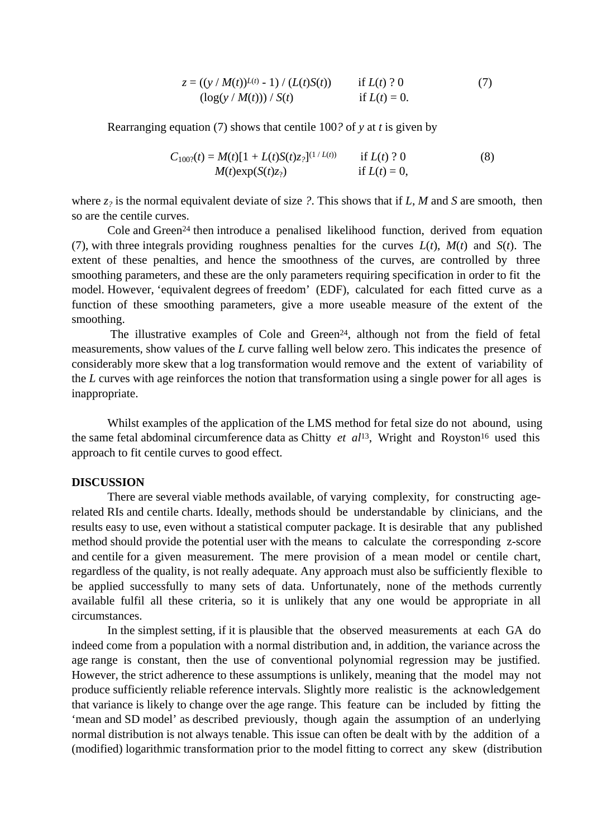$$
z = ((y / M(t))^{L(t)} - 1) / (L(t)S(t))
$$
 if  $L(t)$ ? 0  
(log(y / M(t))) / S(t) if  $L(t) = 0$ . (7)

Rearranging equation (7) shows that centile 100*?* of *y* at *t* is given by

$$
C_{100?}(t) = M(t)[1 + L(t)S(t)z_?]^{(1/L(t))}
$$
 if L(t) ? 0  
\n
$$
M(t)exp(S(t)z_?)
$$
 if L(t) = 0, (8)

where *z?* is the normal equivalent deviate of size *?*. This shows that if *L*, *M* and *S* are smooth, then so are the centile curves.

Cole and Green<sup>24</sup> then introduce a penalised likelihood function, derived from equation (7), with three integrals providing roughness penalties for the curves *L*(*t*), *M*(*t*) and *S*(*t*). The extent of these penalties, and hence the smoothness of the curves, are controlled by three smoothing parameters, and these are the only parameters requiring specification in order to fit the model. However, 'equivalent degrees of freedom' (EDF), calculated for each fitted curve as a function of these smoothing parameters, give a more useable measure of the extent of the smoothing.

The illustrative examples of Cole and Green<sup>24</sup>, although not from the field of fetal measurements, show values of the *L* curve falling well below zero. This indicates the presence of considerably more skew that a log transformation would remove and the extent of variability of the *L* curves with age reinforces the notion that transformation using a single power for all ages is inappropriate.

 Whilst examples of the application of the LMS method for fetal size do not abound, using the same fetal abdominal circumference data as Chitty *et al*<sup>13</sup>, Wright and Royston<sup>16</sup> used this approach to fit centile curves to good effect.

#### **DISCUSSION**

 There are several viable methods available, of varying complexity, for constructing agerelated RIs and centile charts. Ideally, methods should be understandable by clinicians, and the results easy to use, even without a statistical computer package. It is desirable that any published method should provide the potential user with the means to calculate the corresponding z-score and centile for a given measurement. The mere provision of a mean model or centile chart, regardless of the quality, is not really adequate. Any approach must also be sufficiently flexible to be applied successfully to many sets of data. Unfortunately, none of the methods currently available fulfil all these criteria, so it is unlikely that any one would be appropriate in all circumstances.

 In the simplest setting, if it is plausible that the observed measurements at each GA do indeed come from a population with a normal distribution and, in addition, the variance across the age range is constant, then the use of conventional polynomial regression may be justified. However, the strict adherence to these assumptions is unlikely, meaning that the model may not produce sufficiently reliable reference intervals. Slightly more realistic is the acknowledgement that variance is likely to change over the age range. This feature can be included by fitting the 'mean and SD model' as described previously, though again the assumption of an underlying normal distribution is not always tenable. This issue can often be dealt with by the addition of a (modified) logarithmic transformation prior to the model fitting to correct any skew (distribution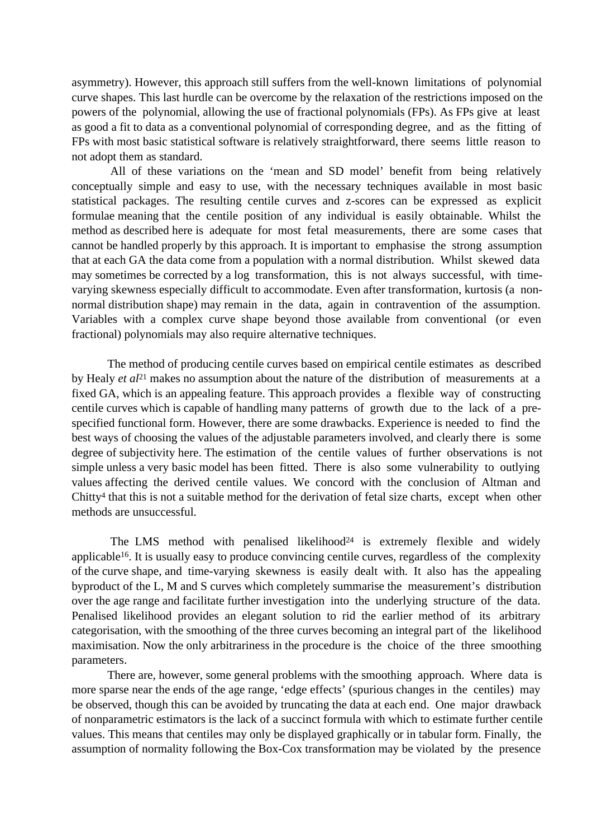asymmetry). However, this approach still suffers from the well-known limitations of polynomial curve shapes. This last hurdle can be overcome by the relaxation of the restrictions imposed on the powers of the polynomial, allowing the use of fractional polynomials (FPs). As FPs give at least as good a fit to data as a conventional polynomial of corresponding degree, and as the fitting of FPs with most basic statistical software is relatively straightforward, there seems little reason to not adopt them as standard.

 All of these variations on the 'mean and SD model' benefit from being relatively conceptually simple and easy to use, with the necessary techniques available in most basic statistical packages. The resulting centile curves and z-scores can be expressed as explicit formulae meaning that the centile position of any individual is easily obtainable. Whilst the method as described here is adequate for most fetal measurements, there are some cases that cannot be handled properly by this approach. It is important to emphasise the strong assumption that at each GA the data come from a population with a normal distribution. Whilst skewed data may sometimes be corrected by a log transformation, this is not always successful, with timevarying skewness especially difficult to accommodate. Even after transformation, kurtosis (a nonnormal distribution shape) may remain in the data, again in contravention of the assumption. Variables with a complex curve shape beyond those available from conventional (or even fractional) polynomials may also require alternative techniques.

 The method of producing centile curves based on empirical centile estimates as described by Healy *et al*21 makes no assumption about the nature of the distribution of measurements at a fixed GA, which is an appealing feature. This approach provides a flexible way of constructing centile curves which is capable of handling many patterns of growth due to the lack of a prespecified functional form. However, there are some drawbacks. Experience is needed to find the best ways of choosing the values of the adjustable parameters involved, and clearly there is some degree of subjectivity here. The estimation of the centile values of further observations is not simple unless a very basic model has been fitted. There is also some vulnerability to outlying values affecting the derived centile values. We concord with the conclusion of Altman and Chitty4 that this is not a suitable method for the derivation of fetal size charts, except when other methods are unsuccessful.

The LMS method with penalised likelihood<sup>24</sup> is extremely flexible and widely applicable16. It is usually easy to produce convincing centile curves, regardless of the complexity of the curve shape, and time-varying skewness is easily dealt with. It also has the appealing byproduct of the L, M and S curves which completely summarise the measurement's distribution over the age range and facilitate further investigation into the underlying structure of the data. Penalised likelihood provides an elegant solution to rid the earlier method of its arbitrary categorisation, with the smoothing of the three curves becoming an integral part of the likelihood maximisation. Now the only arbitrariness in the procedure is the choice of the three smoothing parameters.

 There are, however, some general problems with the smoothing approach. Where data is more sparse near the ends of the age range, 'edge effects' (spurious changes in the centiles) may be observed, though this can be avoided by truncating the data at each end. One major drawback of nonparametric estimators is the lack of a succinct formula with which to estimate further centile values. This means that centiles may only be displayed graphically or in tabular form. Finally, the assumption of normality following the Box-Cox transformation may be violated by the presence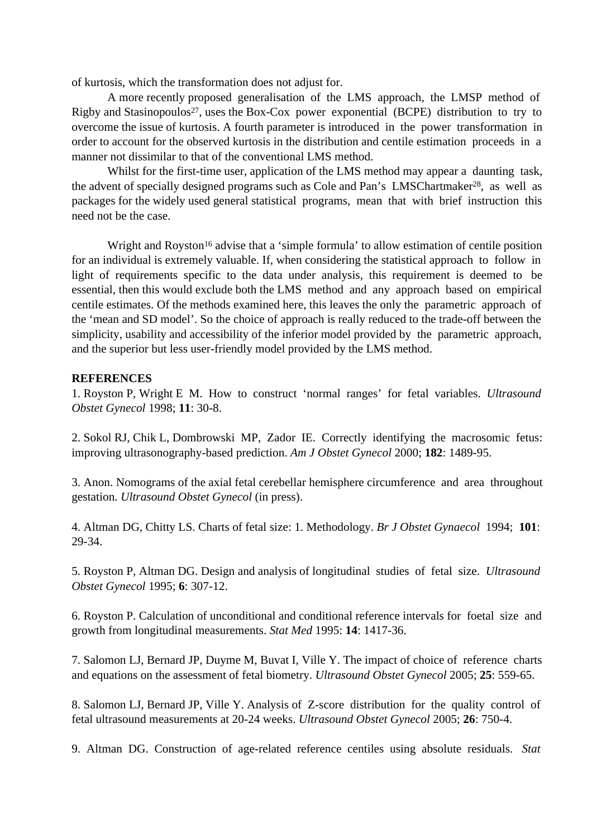of kurtosis, which the transformation does not adjust for.

 A more recently proposed generalisation of the LMS approach, the LMSP method of Rigby and Stasinopoulos<sup>27</sup>, uses the Box-Cox power exponential (BCPE) distribution to try to overcome the issue of kurtosis. A fourth parameter is introduced in the power transformation in order to account for the observed kurtosis in the distribution and centile estimation proceeds in a manner not dissimilar to that of the conventional LMS method.

Whilst for the first-time user, application of the LMS method may appear a daunting task, the advent of specially designed programs such as Cole and Pan's LMSChartmaker<sup>28</sup>, as well as packages for the widely used general statistical programs, mean that with brief instruction this need not be the case.

Wright and Royston<sup>16</sup> advise that a 'simple formula' to allow estimation of centile position for an individual is extremely valuable. If, when considering the statistical approach to follow in light of requirements specific to the data under analysis, this requirement is deemed to be essential, then this would exclude both the LMS method and any approach based on empirical centile estimates. Of the methods examined here, this leaves the only the parametric approach of the 'mean and SD model'. So the choice of approach is really reduced to the trade-off between the simplicity, usability and accessibility of the inferior model provided by the parametric approach, and the superior but less user-friendly model provided by the LMS method.

## **REFERENCES**

1. Royston P, Wright E M. How to construct 'normal ranges' for fetal variables. *Ultrasound Obstet Gynecol* 1998; **11**: 30-8.

2. Sokol RJ, Chik L, Dombrowski MP, Zador IE. Correctly identifying the macrosomic fetus: improving ultrasonography-based prediction. *Am J Obstet Gynecol* 2000; **182**: 1489-95.

3. Anon. Nomograms of the axial fetal cerebellar hemisphere circumference and area throughout gestation. *Ultrasound Obstet Gynecol* (in press).

4. Altman DG, Chitty LS. Charts of fetal size: 1. Methodology. *Br J Obstet Gynaecol* 1994; **101**: 29-34.

5. Royston P, Altman DG. Design and analysis of longitudinal studies of fetal size. *Ultrasound Obstet Gynecol* 1995; **6**: 307-12.

6. Royston P. Calculation of unconditional and conditional reference intervals for foetal size and growth from longitudinal measurements. *Stat Med* 1995: **14**: 1417-36.

7. Salomon LJ, Bernard JP, Duyme M, Buvat I, Ville Y. The impact of choice of reference charts and equations on the assessment of fetal biometry. *Ultrasound Obstet Gynecol* 2005; **25**: 559-65.

8. Salomon LJ, Bernard JP, Ville Y. Analysis of Z-score distribution for the quality control of fetal ultrasound measurements at 20-24 weeks. *Ultrasound Obstet Gynecol* 2005; **26**: 750-4.

9. Altman DG. Construction of age-related reference centiles using absolute residuals. *Stat*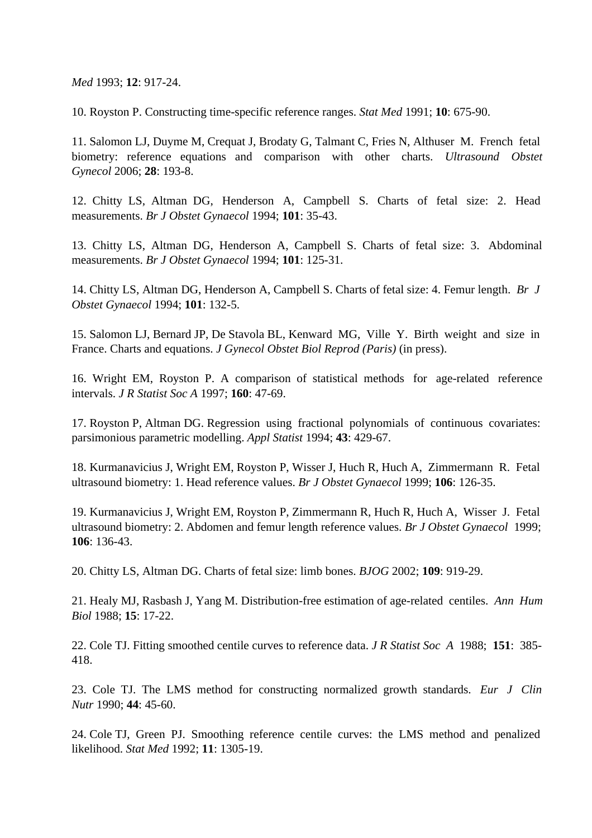*Med* 1993; **12**: 917-24.

10. Royston P. Constructing time-specific reference ranges. *Stat Med* 1991; **10**: 675-90.

11. Salomon LJ, Duyme M, Crequat J, Brodaty G, Talmant C, Fries N, Althuser M. French fetal biometry: reference equations and comparison with other charts. *Ultrasound Obstet Gynecol* 2006; **28**: 193-8.

12. Chitty LS, Altman DG, Henderson A, Campbell S. Charts of fetal size: 2. Head measurements. *Br J Obstet Gynaecol* 1994; **101**: 35-43.

13. Chitty LS, Altman DG, Henderson A, Campbell S. Charts of fetal size: 3. Abdominal measurements. *Br J Obstet Gynaecol* 1994; **101**: 125-31.

14. Chitty LS, Altman DG, Henderson A, Campbell S. Charts of fetal size: 4. Femur length. *Br J Obstet Gynaecol* 1994; **101**: 132-5.

15. Salomon LJ, Bernard JP, De Stavola BL, Kenward MG, Ville Y. Birth weight and size in France. Charts and equations. *J Gynecol Obstet Biol Reprod (Paris)* (in press).

16. Wright EM, Royston P. A comparison of statistical methods for age-related reference intervals. *J R Statist Soc A* 1997; **160**: 47-69.

17. Royston P, Altman DG. Regression using fractional polynomials of continuous covariates: parsimonious parametric modelling. *Appl Statist* 1994; **43**: 429-67.

18. Kurmanavicius J, Wright EM, Royston P, Wisser J, Huch R, Huch A, Zimmermann R. Fetal ultrasound biometry: 1. Head reference values. *Br J Obstet Gynaecol* 1999; **106**: 126-35.

19. Kurmanavicius J, Wright EM, Royston P, Zimmermann R, Huch R, Huch A, Wisser J. Fetal ultrasound biometry: 2. Abdomen and femur length reference values. *Br J Obstet Gynaecol* 1999; **106**: 136-43.

20. Chitty LS, Altman DG. Charts of fetal size: limb bones. *BJOG* 2002; **109**: 919-29.

21. Healy MJ, Rasbash J, Yang M. Distribution-free estimation of age-related centiles. *Ann Hum Biol* 1988; **15**: 17-22.

22. Cole TJ. Fitting smoothed centile curves to reference data. *J R Statist Soc A* 1988; **151**: 385- 418.

23. Cole TJ. The LMS method for constructing normalized growth standards. *Eur J Clin Nutr* 1990; **44**: 45-60.

24. Cole TJ, Green PJ. Smoothing reference centile curves: the LMS method and penalized likelihood. *Stat Med* 1992; **11**: 1305-19.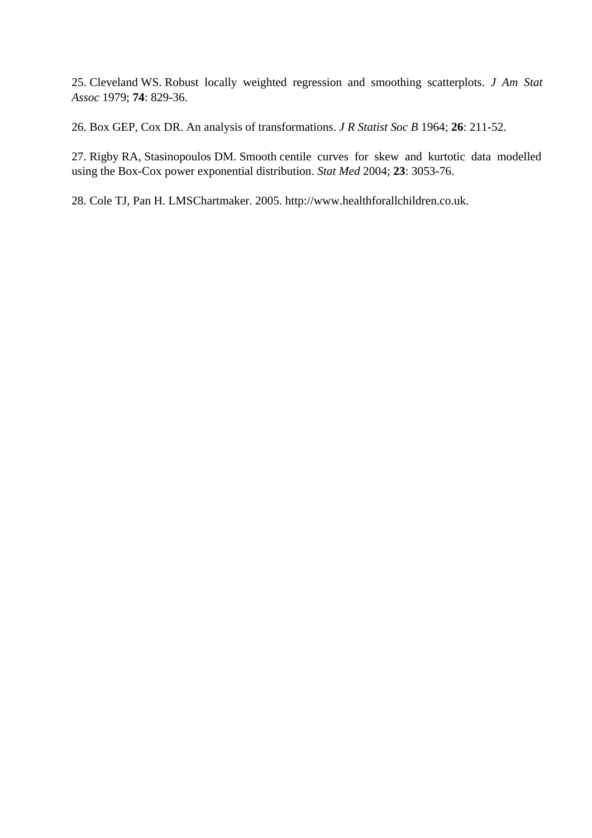25. Cleveland WS. Robust locally weighted regression and smoothing scatterplots. *J Am Stat Assoc* 1979; **74**: 829-36.

26. Box GEP, Cox DR. An analysis of transformations. *J R Statist Soc B* 1964; **26**: 211-52.

27. Rigby RA, Stasinopoulos DM. Smooth centile curves for skew and kurtotic data modelled using the Box-Cox power exponential distribution. *Stat Med* 2004; **23**: 3053-76.

28. Cole TJ, Pan H. LMSChartmaker. 2005. http://www.healthforallchildren.co.uk.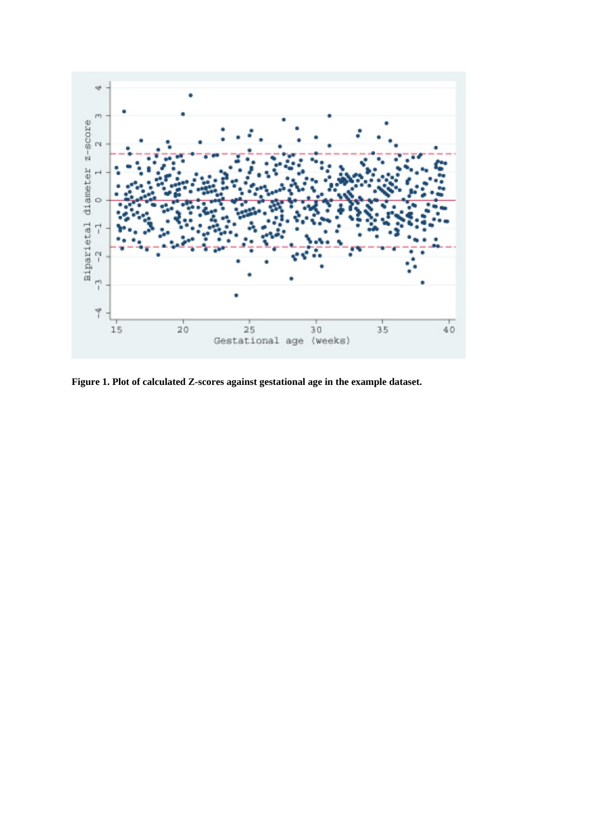

**Figure 1. Plot of calculated Z-scores against gestational age in the example dataset.**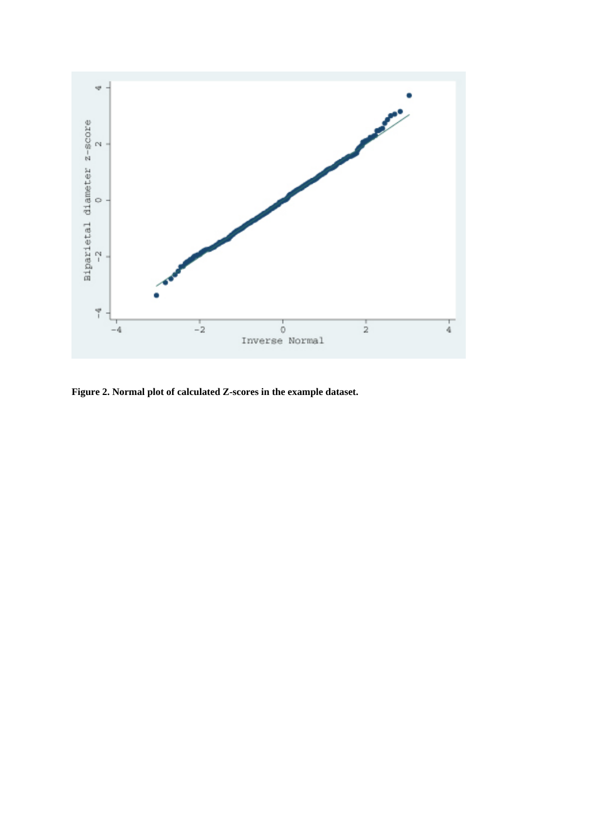

**Figure 2. Normal plot of calculated Z-scores in the example dataset.**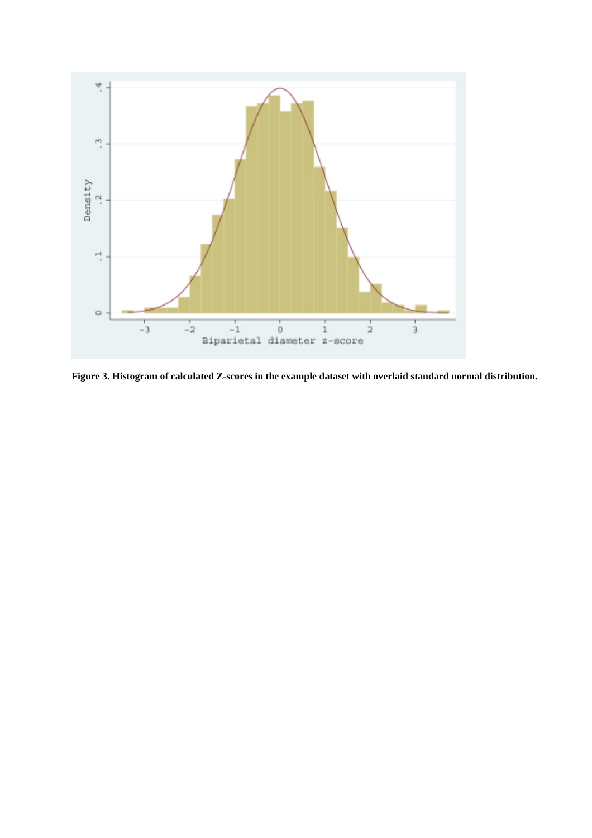

**Figure 3. Histogram of calculated Z-scores in the example dataset with overlaid standard normal distribution.**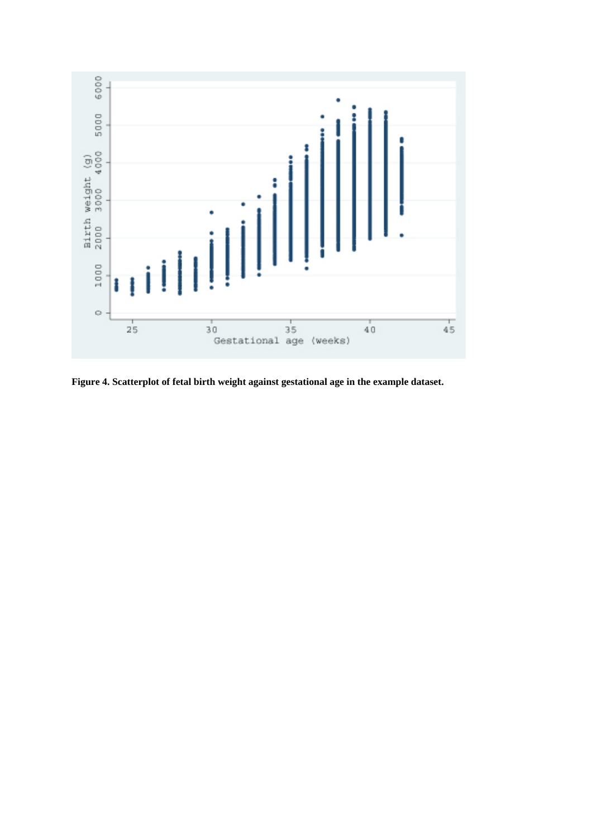

**Figure 4. Scatterplot of fetal birth weight against gestational age in the example dataset.**